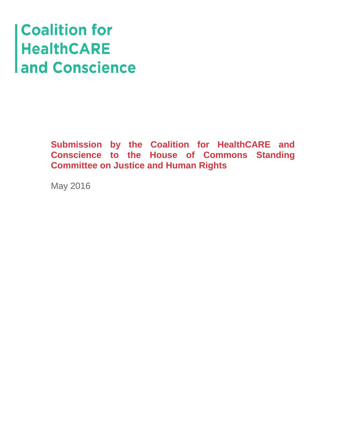# **Coalition for<br>HealthCARE<br>and Conscience**

**Submission by the Coalition for HealthCARE and Conscience to the House of Commons Standing Committee on Justice and Human Rights**

May 2016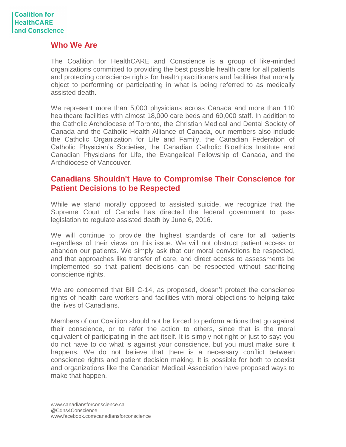### **Who We Are**

The Coalition for HealthCARE and Conscience is a group of like-minded organizations committed to providing the best possible health care for all patients and protecting conscience rights for health practitioners and facilities that morally object to performing or participating in what is being referred to as medically assisted death.

We represent more than 5,000 physicians across Canada and more than 110 healthcare facilities with almost 18,000 care beds and 60,000 staff. In addition to the Catholic Archdiocese of Toronto, the Christian Medical and Dental Society of Canada and the Catholic Health Alliance of Canada, our members also include the Catholic Organization for Life and Family, the Canadian Federation of Catholic Physician's Societies, the Canadian Catholic Bioethics Institute and Canadian Physicians for Life, the Evangelical Fellowship of Canada, and the Archdiocese of Vancouver.

## **Canadians Shouldn't Have to Compromise Their Conscience for Patient Decisions to be Respected**

While we stand morally opposed to assisted suicide, we recognize that the Supreme Court of Canada has directed the federal government to pass legislation to regulate assisted death by June 6, 2016.

We will continue to provide the highest standards of care for all patients regardless of their views on this issue. We will not obstruct patient access or abandon our patients. We simply ask that our moral convictions be respected, and that approaches like transfer of care, and direct access to assessments be implemented so that patient decisions can be respected without sacrificing conscience rights.

We are concerned that Bill C-14, as proposed, doesn't protect the conscience rights of health care workers and facilities with moral objections to helping take the lives of Canadians.

Members of our Coalition should not be forced to perform actions that go against their conscience, or to refer the action to others, since that is the moral equivalent of participating in the act itself. It is simply not right or just to say: you do not have to do what is against your conscience, but you must make sure it happens. We do not believe that there is a necessary conflict between conscience rights and patient decision making. It is possible for both to coexist and organizations like the Canadian Medical Association have proposed ways to make that happen.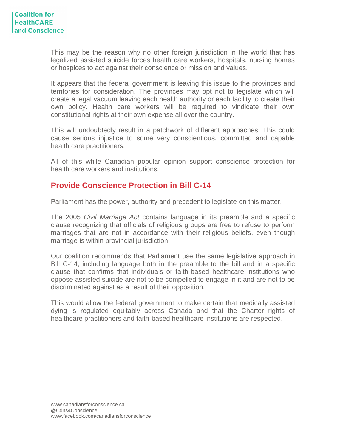This may be the reason why no other foreign jurisdiction in the world that has legalized assisted suicide forces health care workers, hospitals, nursing homes or hospices to act against their conscience or mission and values.

It appears that the federal government is leaving this issue to the provinces and territories for consideration. The provinces may opt not to legislate which will create a legal vacuum leaving each health authority or each facility to create their own policy. Health care workers will be required to vindicate their own constitutional rights at their own expense all over the country.

This will undoubtedly result in a patchwork of different approaches. This could cause serious injustice to some very conscientious, committed and capable health care practitioners.

All of this while Canadian popular opinion support conscience protection for health care workers and institutions.

# **Provide Conscience Protection in Bill C-14**

Parliament has the power, authority and precedent to legislate on this matter.

The 2005 *Civil Marriage Act* contains language in its preamble and a specific clause recognizing that officials of religious groups are free to refuse to perform marriages that are not in accordance with their religious beliefs, even though marriage is within provincial jurisdiction.

Our coalition recommends that Parliament use the same legislative approach in Bill C-14, including language both in the preamble to the bill and in a specific clause that confirms that individuals or faith-based healthcare institutions who oppose assisted suicide are not to be compelled to engage in it and are not to be discriminated against as a result of their opposition.

This would allow the federal government to make certain that medically assisted dying is regulated equitably across Canada and that the Charter rights of healthcare practitioners and faith-based healthcare institutions are respected.